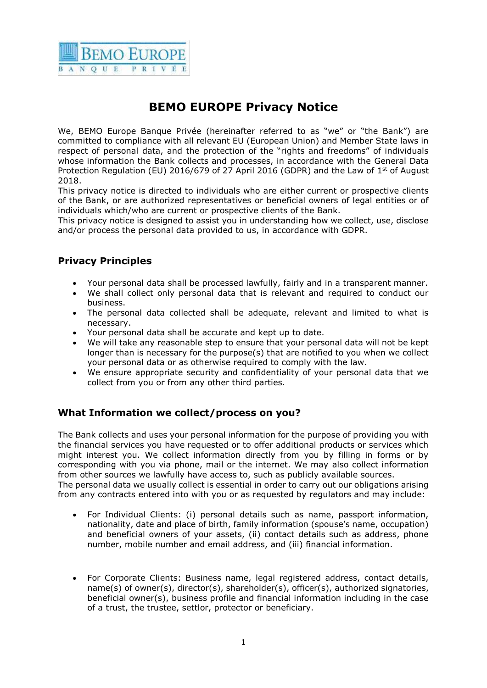

# **BEMO EUROPE Privacy Notice**

We, BEMO Europe Banque Privée (hereinafter referred to as "we" or "the Bank") are committed to compliance with all relevant EU (European Union) and Member State laws in respect of personal data, and the protection of the "rights and freedoms" of individuals whose information the Bank collects and processes, in accordance with the General Data Protection Regulation (EU) 2016/679 of 27 April 2016 (GDPR) and the Law of  $1<sup>st</sup>$  of August 2018.

This privacy notice is directed to individuals who are either current or prospective clients of the Bank, or are authorized representatives or beneficial owners of legal entities or of individuals which/who are current or prospective clients of the Bank.

This privacy notice is designed to assist you in understanding how we collect, use, disclose and/or process the personal data provided to us, in accordance with GDPR.

## **Privacy Principles**

- Your personal data shall be processed lawfully, fairly and in a transparent manner.
- We shall collect only personal data that is relevant and required to conduct our business.
- The personal data collected shall be adequate, relevant and limited to what is necessary.
- Your personal data shall be accurate and kept up to date.
- We will take any reasonable step to ensure that your personal data will not be kept longer than is necessary for the purpose(s) that are notified to you when we collect your personal data or as otherwise required to comply with the law.
- We ensure appropriate security and confidentiality of your personal data that we collect from you or from any other third parties.

#### **What Information we collect/process on you?**

The Bank collects and uses your personal information for the purpose of providing you with the financial services you have requested or to offer additional products or services which might interest you. We collect information directly from you by filling in forms or by corresponding with you via phone, mail or the internet. We may also collect information from other sources we lawfully have access to, such as publicly available sources. The personal data we usually collect is essential in order to carry out our obligations arising from any contracts entered into with you or as requested by regulators and may include:

- For Individual Clients: (i) personal details such as name, passport information, nationality, date and place of birth, family information (spouse's name, occupation) and beneficial owners of your assets, (ii) contact details such as address, phone number, mobile number and email address, and (iii) financial information.
- For Corporate Clients: Business name, legal registered address, contact details, name(s) of owner(s), director(s), shareholder(s), officer(s), authorized signatories, beneficial owner(s), business profile and financial information including in the case of a trust, the trustee, settlor, protector or beneficiary.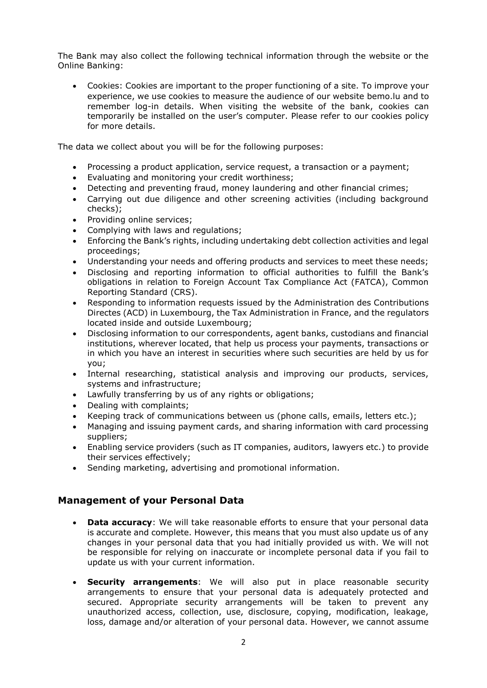The Bank may also collect the following technical information through the website or the Online Banking:

 Cookies: Cookies are important to the proper functioning of a site. To improve your experience, we use cookies to measure the audience of our website bemo.lu and to remember log-in details. When visiting the website of the bank, cookies can temporarily be installed on the user's computer. Please refer to our cookies policy for more details.

The data we collect about you will be for the following purposes:

- Processing a product application, service request, a transaction or a payment;
- Evaluating and monitoring your credit worthiness;
- Detecting and preventing fraud, money laundering and other financial crimes;
- Carrying out due diligence and other screening activities (including background checks);
- Providing online services;
- Complying with laws and regulations;
- Enforcing the Bank's rights, including undertaking debt collection activities and legal proceedings;
- Understanding your needs and offering products and services to meet these needs;
- Disclosing and reporting information to official authorities to fulfill the Bank's obligations in relation to Foreign Account Tax Compliance Act (FATCA), Common Reporting Standard (CRS).
- Responding to information requests issued by the Administration des Contributions Directes (ACD) in Luxembourg, the Tax Administration in France, and the regulators located inside and outside Luxembourg;
- Disclosing information to our correspondents, agent banks, custodians and financial institutions, wherever located, that help us process your payments, transactions or in which you have an interest in securities where such securities are held by us for you;
- Internal researching, statistical analysis and improving our products, services, systems and infrastructure;
- Lawfully transferring by us of any rights or obligations;
- Dealing with complaints;
- Keeping track of communications between us (phone calls, emails, letters etc.);
- Managing and issuing payment cards, and sharing information with card processing suppliers;
- Enabling service providers (such as IT companies, auditors, lawyers etc.) to provide their services effectively;
- Sending marketing, advertising and promotional information.

#### **Management of your Personal Data**

- **Data accuracy**: We will take reasonable efforts to ensure that your personal data is accurate and complete. However, this means that you must also update us of any changes in your personal data that you had initially provided us with. We will not be responsible for relying on inaccurate or incomplete personal data if you fail to update us with your current information.
- **Security arrangements**: We will also put in place reasonable security arrangements to ensure that your personal data is adequately protected and secured. Appropriate security arrangements will be taken to prevent any unauthorized access, collection, use, disclosure, copying, modification, leakage, loss, damage and/or alteration of your personal data. However, we cannot assume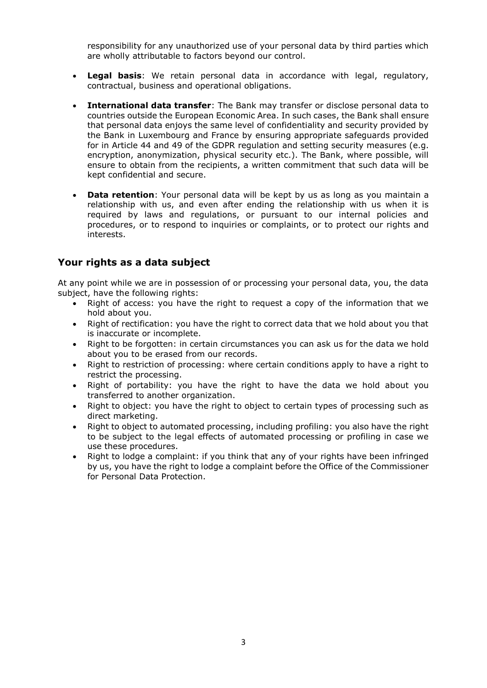responsibility for any unauthorized use of your personal data by third parties which are wholly attributable to factors beyond our control.

- **Legal basis**: We retain personal data in accordance with legal, regulatory, contractual, business and operational obligations.
- **International data transfer**: The Bank may transfer or disclose personal data to countries outside the European Economic Area. In such cases, the Bank shall ensure that personal data enjoys the same level of confidentiality and security provided by the Bank in Luxembourg and France by ensuring appropriate safeguards provided for in Article 44 and 49 of the GDPR regulation and setting security measures (e.g. encryption, anonymization, physical security etc.). The Bank, where possible, will ensure to obtain from the recipients, a written commitment that such data will be kept confidential and secure.
- **Data retention**: Your personal data will be kept by us as long as you maintain a relationship with us, and even after ending the relationship with us when it is required by laws and regulations, or pursuant to our internal policies and procedures, or to respond to inquiries or complaints, or to protect our rights and interests.

#### **Your rights as a data subject**

At any point while we are in possession of or processing your personal data, you, the data subject, have the following rights:

- Right of access: you have the right to request a copy of the information that we hold about you.
- Right of rectification: you have the right to correct data that we hold about you that is inaccurate or incomplete.
- Right to be forgotten: in certain circumstances you can ask us for the data we hold about you to be erased from our records.
- Right to restriction of processing: where certain conditions apply to have a right to restrict the processing.
- Right of portability: you have the right to have the data we hold about you transferred to another organization.
- Right to object: you have the right to object to certain types of processing such as direct marketing.
- Right to object to automated processing, including profiling: you also have the right to be subject to the legal effects of automated processing or profiling in case we use these procedures.
- Right to lodge a complaint: if you think that any of your rights have been infringed by us, you have the right to lodge a complaint before the Office of the Commissioner for Personal Data Protection.